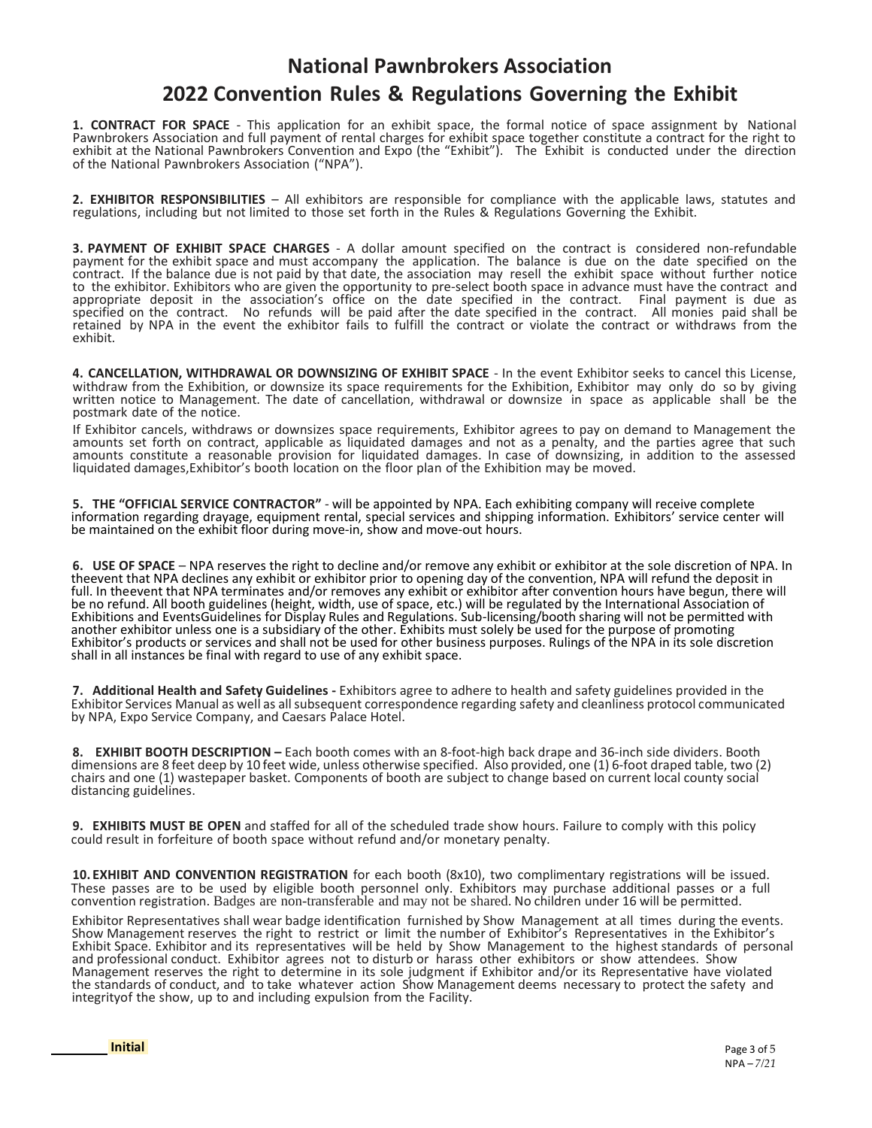## **National Pawnbrokers Association 2022 Convention Rules & Regulations Governing the Exhibit**

**1. CONTRACT FOR SPACE** - This application for an exhibit space, the formal notice of space assignment by National Pawnbrokers Association and full payment of rental charges for exhibit space together constitute a contract for the right to exhibit at the National Pawnbrokers Convention and Expo (the "Exhibit"). The Exhibit is conducted under the direction of the National Pawnbrokers Association ("NPA").

**2. EXHIBITOR RESPONSIBILITIES** – All exhibitors are responsible for compliance with the applicable laws, statutes and regulations, including but not limited to those set forth in the Rules & Regulations Governing the Exhibit.

**3. PAYMENT OF EXHIBIT SPACE CHARGES** - A dollar amount specified on the contract is considered non-refundable payment for the exhibit space and must accompany the application. The balance is due on the date specified on the contract. If the balance due is not paid by that date, the association may resell the exhibit space without further notice to the exhibitor. Exhibitors who are given the opportunity to pre-select booth space in advance must have the contract and appropriate deposit in the association's office on the date specified in the contract. Final payment is due as specified on the contract. No refunds will be paid after the date specified in the contract. All monies paid shall be retained by NPA in the event the exhibitor fails to fulfill the contract or violate the contract or withdraws from the exhibit.

**4. CANCELLATION, WITHDRAWAL OR DOWNSIZING OF EXHIBIT SPACE** - In the event Exhibitor seeks to cancel this License, withdraw from the Exhibition, or downsize its space requirements for the Exhibition, Exhibitor may only do so by giving written notice to Management. The date of cancellation, withdrawal or downsize in space as applicable shall be the postmark date of the notice.

If Exhibitor cancels, withdraws or downsizes space requirements, Exhibitor agrees to pay on demand to Management the amounts set forth on contract, applicable as liquidated damages and not as a penalty, and the parties agree that such amounts constitute a reasonable provision for liquidated damages. In case of downsizing, in addition to the assessed liquidated damages,Exhibitor's booth location on the floor plan of the Exhibition may be moved.

**5. THE "OFFICIAL SERVICE CONTRACTOR"** - will be appointed by NPA. Each exhibiting company will receive complete information regarding drayage, equipment rental, special services and shipping information. Exhibitors' service center will be maintained on the exhibit floor during move-in, show and move-out hours.

**6. USE OF SPACE** – NPA reserves the right to decline and/or remove any exhibit or exhibitor at the sole discretion of NPA. In theevent that NPA declines any exhibit or exhibitor prior to opening day of the convention, NPA will refund the deposit in full. In theevent that NPA terminates and/or removes any exhibit or exhibitor after convention hours have begun, there will be no refund. All booth guidelines (height, width, use of space, etc.) will be regulated by the International Association of Exhibitions and EventsGuidelines for Display Rules and Regulations. Sub-licensing/booth sharing will not be permitted with another exhibitor unless one is a subsidiary of the other. Exhibits must solely be used for the purpose of promoting Exhibitor's products or services and shall not be used for other business purposes. Rulings of the NPA in its sole discretion shall in all instances be final with regard to use of any exhibit space.

**7. Additional Health and Safety Guidelines -** Exhibitors agree to adhere to health and safety guidelines provided in the Exhibitor Services Manual as well as allsubsequent correspondence regarding safety and cleanliness protocol communicated by NPA, Expo Service Company, and Caesars Palace Hotel.

**8. EXHIBIT BOOTH DESCRIPTION –** Each booth comes with an 8-foot-high back drape and 36-inch side dividers. Booth dimensions are 8 feet deep by 10 feet wide, unless otherwise specified. Also provided, one (1) 6-foot draped table, two (2) chairs and one (1) wastepaper basket. Components of booth are subject to change based on current local county social distancing guidelines.

**9. EXHIBITS MUST BE OPEN** and staffed for all of the scheduled trade show hours. Failure to comply with this policy could result in forfeiture of booth space without refund and/or monetary penalty.

**10. EXHIBIT AND CONVENTION REGISTRATION** for each booth (8x10), two complimentary registrations will be issued. These passes are to be used by eligible booth personnel only. Exhibitors may purchase additional passes or a full convention registration. Badges are non-transferable and may not be shared. No children under 16 will be permitted.

Exhibitor Representatives shall wear badge identification furnished by Show Management at all times during the events. Show Management reserves the right to restrict or limit the number of Exhibitor's Representatives in the Exhibitor's Exhibit Space. Exhibitor and its representatives will be held by Show Management to the highest standards of personal and professional conduct. Exhibitor agrees not to disturb or harass other exhibitors or show attendees. Show Management reserves the right to determine in its sole judgment if Exhibitor and/or its Representative have violated the standards of conduct, and to take whatever action Show Management deems necessary to protect the safety and integrityof the show, up to and including expulsion from the Facility.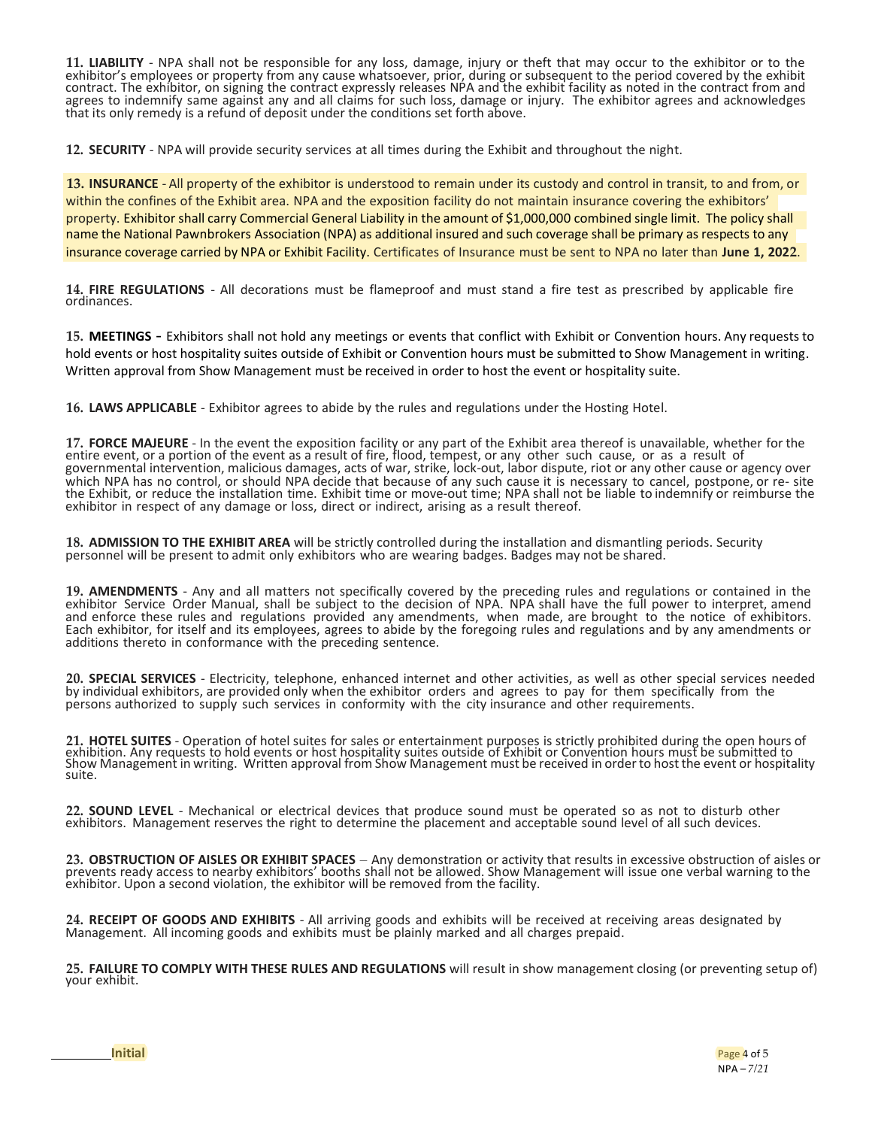**11. LIABILITY** - NPA shall not be responsible for any loss, damage, injury or theft that may occur to the exhibitor or to the exhibitor's employees or property from any cause whatsoever, prior, during or subsequent to the period covered by the exhibit contract. The exhibitor, on signing the contract expressly releases NPA and the exhibit facility as noted in the contract from and agrees to indemnify same against any and all claims for such loss, damage or injury. The exhibitor agrees and acknowledges that its only remedy is a refund of deposit under the conditions set forth above.

**12. SECURITY** - NPA will provide security services at all times during the Exhibit and throughout the night.

**13. INSURANCE** - All property of the exhibitor is understood to remain under its custody and control in transit, to and from, or within the confines of the Exhibit area. NPA and the exposition facility do not maintain insurance covering the exhibitors' property. Exhibitor shall carry Commercial General Liability in the amount of \$1,000,000 combined single limit. The policy shall name the National Pawnbrokers Association (NPA) as additional insured and such coverage shall be primary as respects to any insurance coverage carried by NPA or Exhibit Facility. Certificates of Insurance must be sent to NPA no later than **June 1, 2022**.

**14. FIRE REGULATIONS** - All decorations must be flameproof and must stand a fire test as prescribed by applicable fire ordinances.

**15. MEETINGS** - Exhibitors shall not hold any meetings or events that conflict with Exhibit or Convention hours. Any requests to hold events or host hospitality suites outside of Exhibit or Convention hours must be submitted to Show Management in writing. Written approval from Show Management must be received in order to host the event or hospitality suite.

**16. LAWS APPLICABLE** - Exhibitor agrees to abide by the rules and regulations under the Hosting Hotel.

**17. FORCE MAJEURE** - In the event the exposition facility or any part of the Exhibit area thereof is unavailable, whether for the entire event, or a portion of the event as a result of fire, flood, tempest, or any other such cause, or as a result of governmental intervention, malicious damages, acts of war, strike, lock-out, labor dispute, riot or any other cause or agency over which NPA has no control, or should NPA decide that because of any such cause it is necessary to cancel, postpone, or re- site the Exhibit, or reduce the installation time. Exhibit time or move-out time; NPA shall not be liable to indemnify or reimburse the exhibitor in respect of any damage or loss, direct or indirect, arising as a result thereof.

**18. ADMISSION TO THE EXHIBIT AREA** will be strictly controlled during the installation and dismantling periods. Security personnel will be present to admit only exhibitors who are wearing badges. Badges may not be shared.

**19. AMENDMENTS** - Any and all matters not specifically covered by the preceding rules and regulations or contained in the exhibitor Service Order Manual, shall be subject to the decision of NPA. NPA shall have the full power to interpret, amend and enforce these rules and regulations provided any amendments, when made, are brought to the notice of exhibitors. Each exhibitor, for itself and its employees, agrees to abide by the foregoing rules and regulations and by any amendments or additions thereto in conformance with the preceding sentence.

**20. SPECIAL SERVICES** - Electricity, telephone, enhanced internet and other activities, as well as other special services needed by individual exhibitors, are provided only when the exhibitor orders and agrees to pay for them specifically from the persons authorized to supply such services in conformity with the city insurance and other requirements.

**21. HOTEL SUITES** - Operation of hotel suites for sales or entertainment purposes is strictly prohibited during the open hours of exhibition. Any requests to hold events or host hospitality suites outside of Exhibit or Convention hours must be submitted to<br>Show Management in writing. Written approval from Show Management must be received in order to suite.

**22. SOUND LEVEL** - Mechanical or electrical devices that produce sound must be operated so as not to disturb other exhibitors. Management reserves the right to determine the placement and acceptable sound level of all such devices.

**23. OBSTRUCTION OF AISLES OR EXHIBIT SPACES** – Any demonstration or activity that results in excessive obstruction of aisles or prevents ready access to nearby exhibitors' booths shall not be allowed. Show Management will issue one verbal warning to the exhibitor. Upon a second violation, the exhibitor will be removed from the facility.

**24. RECEIPT OF GOODS AND EXHIBITS** - All arriving goods and exhibits will be received at receiving areas designated by Management. All incoming goods and exhibits must be plainly marked and all charges prepaid.

**25. FAILURE TO COMPLY WITH THESE RULES AND REGULATIONS** will result in show management closing (or preventing setup of) your exhibit.